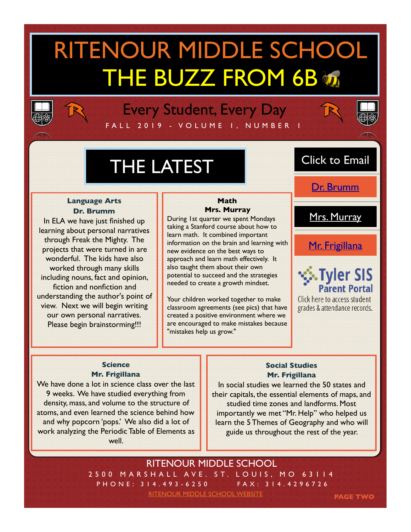# RITENOUR MIDDLE SCHOOL THE BUZZ FROM 6B



FA L L 2019 - VOLUME 1, NUMBER 1 Every Student, Every Day



## THE LATEST

#### **Language Arts Dr. Brumm**

In ELA we have just finished up learning about personal narratives through Freak the Mighty. The projects that were turned in are wonderful. The kids have also worked through many skills including nouns, fact and opinion, fiction and nonfiction and understanding the author's point of view. Next we will begin writing our own personal narratives. Please begin brainstorming!!!

#### **Math Mrs. Murray**

During 1st quarter we spent Mondays taking a Stanford course about how to learn math. It combined important information on the brain and learning with new evidence on the best ways to approach and learn math effectively. It also taught them about their own potential to succeed and the strategies needed to create a growth mindset.

Your children worked together to make classroom agreements (see pics) that have created a positive environment where we are encouraged to make mistakes because "mistakes help us grow."

### Click to Email

[Dr. Brumm](mailto:brummc@ritenourschools.org)

[Mrs. Murray](mailto:murrayt@ritenourschools.org)

[Mr. Frigillana](mailto:frigillanat@ritenourschools.org)



**Click here to access student** grades & attendance records.

**PAGE TWO**

#### **Science Mr. Frigillana**

We have done a lot in science class over the last 9 weeks. We have studied everything from density, mass, and volume to the structure of atoms, and even learned the science behind how and why popcorn 'pops.' We also did a lot of work analyzing the Periodic Table of Elements as well.

#### **Social Studies Mr. Frigillana**

In social studies we learned the 50 states and their capitals, the essential elements of maps, and studied time zones and landforms. Most importantly we met "Mr. Help" who helped us learn the 5 Themes of Geography and who will guide us throughout the rest of the year.

2500 MARSHALL AVE. ST. LOUIS, MO 63114 PHONE: 314.493-6250 FAX: 314.4296726 RITENOUR MIDDLE SCHOOL [RITENOUR MIDDLE SCHOOL WEBSITE](https://www.ritenour.k12.mo.us/Domain/15)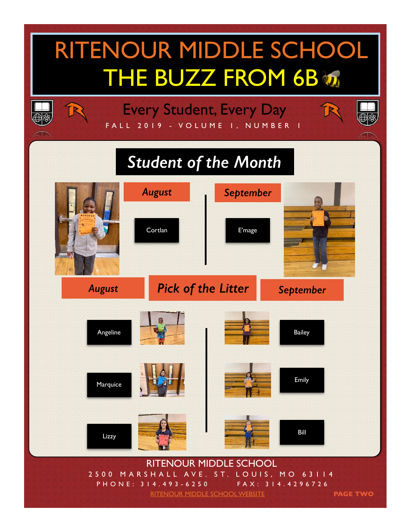